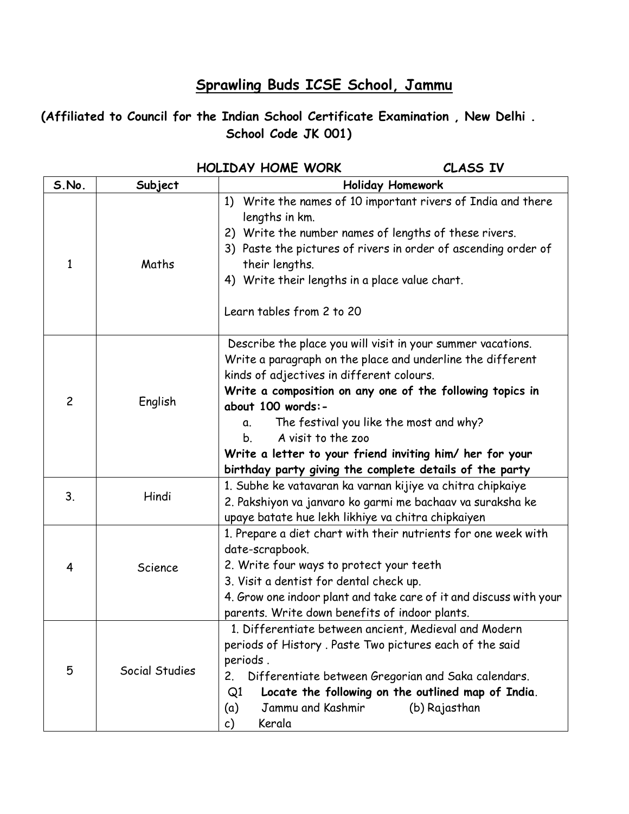## **Sprawling Buds ICSE School, Jammu**

## **(Affiliated to Council for the Indian School Certificate Examination , New Delhi . School Code JK 001)**

|                |                | <b>HOLIDAY HOME WORK</b>                                                                                                                                                                                                                                                                                                                                                                                                                                     | CLASS IV                                                            |  |
|----------------|----------------|--------------------------------------------------------------------------------------------------------------------------------------------------------------------------------------------------------------------------------------------------------------------------------------------------------------------------------------------------------------------------------------------------------------------------------------------------------------|---------------------------------------------------------------------|--|
| S.No.          | Subject        | <b>Holiday Homework</b>                                                                                                                                                                                                                                                                                                                                                                                                                                      |                                                                     |  |
| 1              | Maths          | 1) Write the names of 10 important rivers of India and there<br>lengths in km.<br>2) Write the number names of lengths of these rivers.<br>3) Paste the pictures of rivers in order of ascending order of<br>their lengths.<br>4) Write their lengths in a place value chart.<br>Learn tables from 2 to 20                                                                                                                                                   |                                                                     |  |
| $\overline{c}$ | English        | Describe the place you will visit in your summer vacations.<br>Write a paragraph on the place and underline the different<br>kinds of adjectives in different colours.<br>Write a composition on any one of the following topics in<br>about 100 words:-<br>The festival you like the most and why?<br>α.<br>A visit to the zoo<br>b.<br>Write a letter to your friend inviting him/ her for your<br>birthday party giving the complete details of the party |                                                                     |  |
| 3.             | Hindi          | 1. Subhe ke vatavaran ka varnan kijiye va chitra chipkaiye<br>2. Pakshiyon va janvaro ko garmi me bachaav va suraksha ke<br>upaye batate hue lekh likhiye va chitra chipkaiyen                                                                                                                                                                                                                                                                               |                                                                     |  |
| 4              | Science        | 1. Prepare a diet chart with their nutrients for one week with<br>date-scrapbook.<br>2. Write four ways to protect your teeth<br>3. Visit a dentist for dental check up.<br>parents. Write down benefits of indoor plants.                                                                                                                                                                                                                                   | 4. Grow one indoor plant and take care of it and discuss with your  |  |
| 5              | Social Studies | 1. Differentiate between ancient, Medieval and Modern<br>periods of History. Paste Two pictures each of the said<br>periods.<br>Differentiate between Gregorian and Saka calendars.<br>2.<br>Q1<br>Jammu and Kashmir<br>(a)<br>Kerala<br>c)                                                                                                                                                                                                                  | Locate the following on the outlined map of India.<br>(b) Rajasthan |  |